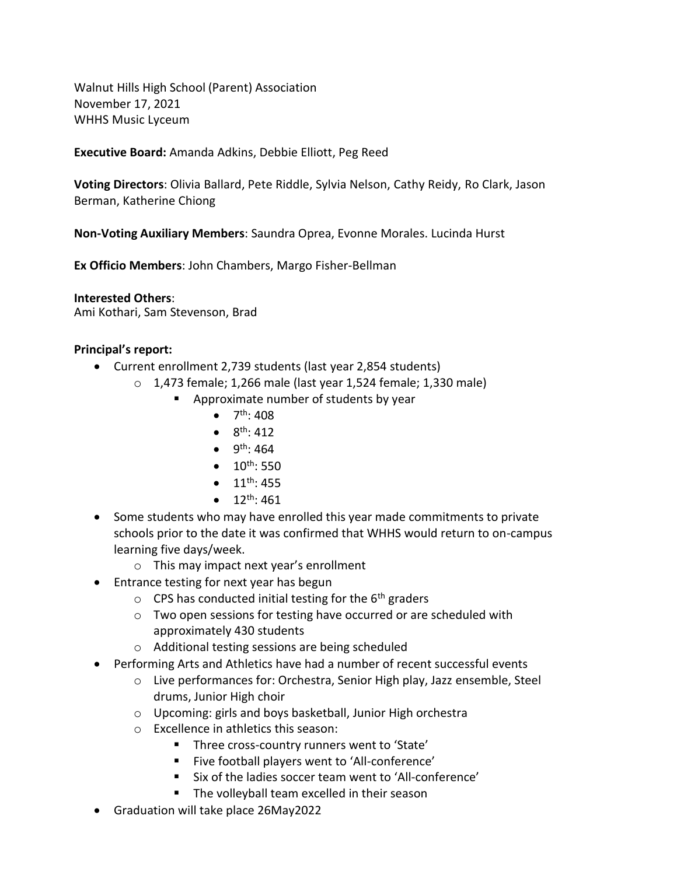Walnut Hills High School (Parent) Association November 17, 2021 WHHS Music Lyceum

**Executive Board:** Amanda Adkins, Debbie Elliott, Peg Reed

**Voting Directors**: Olivia Ballard, Pete Riddle, Sylvia Nelson, Cathy Reidy, Ro Clark, Jason Berman, Katherine Chiong

**Non-Voting Auxiliary Members**: Saundra Oprea, Evonne Morales. Lucinda Hurst

**Ex Officio Members**: John Chambers, Margo Fisher-Bellman

**Interested Others**: Ami Kothari, Sam Stevenson, Brad

#### **Principal's report:**

- Current enrollment 2,739 students (last year 2,854 students)
	- o 1,473 female; 1,266 male (last year 1,524 female; 1,330 male)
		- **Approximate number of students by year** 
			- $\bullet$  7<sup>th</sup>: 408
			- $8^{th}$ : 412
			- $\bullet$  9<sup>th</sup>: 464
			- $\bullet$  10<sup>th</sup>: 550
			- $\bullet$  11<sup>th</sup>: 455
			- $\bullet$  12<sup>th</sup>: 461
- Some students who may have enrolled this year made commitments to private schools prior to the date it was confirmed that WHHS would return to on-campus learning five days/week.
	- o This may impact next year's enrollment
- Entrance testing for next year has begun
	- $\circ$  CPS has conducted initial testing for the 6<sup>th</sup> graders
	- o Two open sessions for testing have occurred or are scheduled with approximately 430 students
	- o Additional testing sessions are being scheduled
- Performing Arts and Athletics have had a number of recent successful events
	- o Live performances for: Orchestra, Senior High play, Jazz ensemble, Steel drums, Junior High choir
	- o Upcoming: girls and boys basketball, Junior High orchestra
	- o Excellence in athletics this season:
		- **Three cross-country runners went to 'State'**
		- Five football players went to 'All-conference'
		- Six of the ladies soccer team went to 'All-conference'
		- **The volleyball team excelled in their season**
- Graduation will take place 26May2022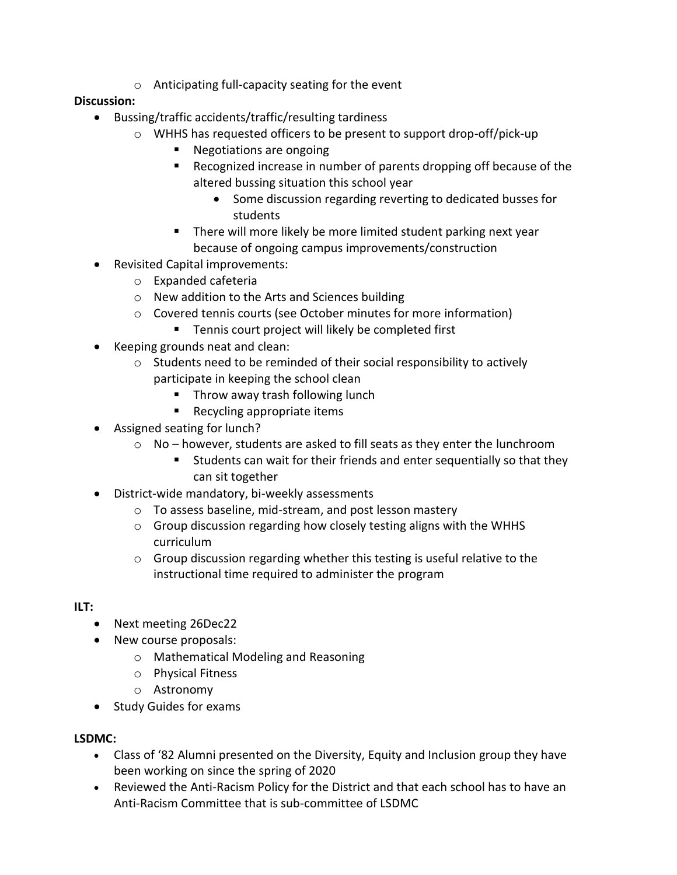o Anticipating full-capacity seating for the event

### **Discussion:**

- Bussing/traffic accidents/traffic/resulting tardiness
	- o WHHS has requested officers to be present to support drop-off/pick-up
		- Negotiations are ongoing
		- Recognized increase in number of parents dropping off because of the altered bussing situation this school year
			- Some discussion regarding reverting to dedicated busses for students
		- **There will more likely be more limited student parking next year** because of ongoing campus improvements/construction
- Revisited Capital improvements:
	- o Expanded cafeteria
	- o New addition to the Arts and Sciences building
	- o Covered tennis courts (see October minutes for more information)
		- **Tennis court project will likely be completed first**
- Keeping grounds neat and clean:
	- o Students need to be reminded of their social responsibility to actively participate in keeping the school clean
		- **Throw away trash following lunch**
		- Recycling appropriate items
- Assigned seating for lunch?
	- $\circ$  No however, students are asked to fill seats as they enter the lunchroom
		- Students can wait for their friends and enter sequentially so that they can sit together
- District-wide mandatory, bi-weekly assessments
	- o To assess baseline, mid-stream, and post lesson mastery
	- o Group discussion regarding how closely testing aligns with the WHHS curriculum
	- o Group discussion regarding whether this testing is useful relative to the instructional time required to administer the program

#### **ILT:**

- Next meeting 26Dec22
- New course proposals:
	- o Mathematical Modeling and Reasoning
	- o Physical Fitness
	- o Astronomy
- Study Guides for exams

#### **LSDMC:**

- Class of '82 Alumni presented on the Diversity, Equity and Inclusion group they have been working on since the spring of 2020
- Reviewed the Anti-Racism Policy for the District and that each school has to have an Anti-Racism Committee that is sub-committee of LSDMC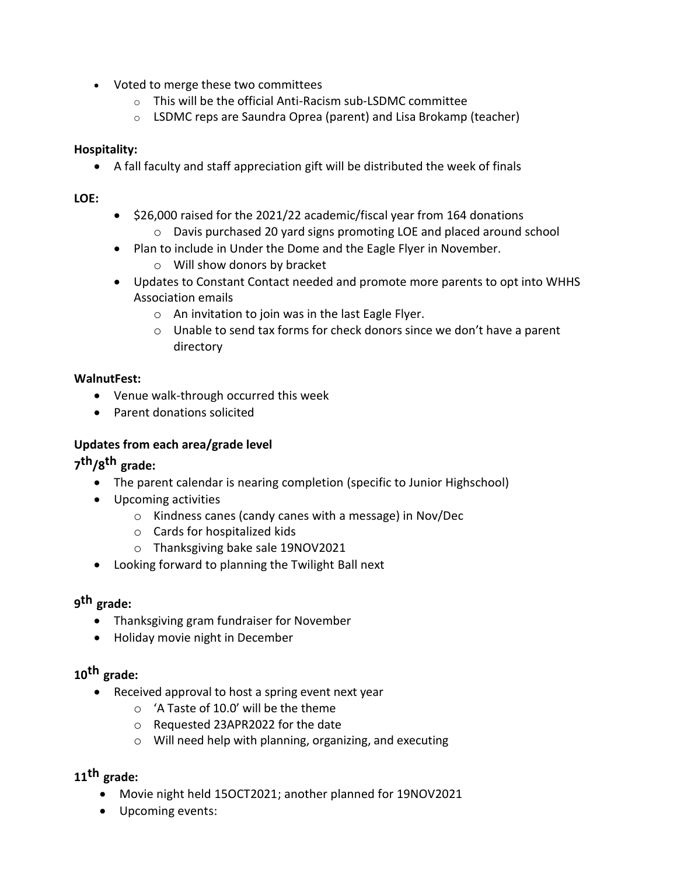- Voted to merge these two committees
	- o This will be the official Anti-Racism sub-LSDMC committee
	- o LSDMC reps are Saundra Oprea (parent) and Lisa Brokamp (teacher)

### **Hospitality:**

A fall faculty and staff appreciation gift will be distributed the week of finals

### **LOE:**

- $\bullet$  \$26,000 raised for the 2021/22 academic/fiscal year from 164 donations o Davis purchased 20 yard signs promoting LOE and placed around school
- Plan to include in Under the Dome and the Eagle Flyer in November.
	- o Will show donors by bracket
- Updates to Constant Contact needed and promote more parents to opt into WHHS Association emails
	- o An invitation to join was in the last Eagle Flyer.
	- o Unable to send tax forms for check donors since we don't have a parent directory

### **WalnutFest:**

- Venue walk-through occurred this week
- Parent donations solicited

### **Updates from each area/grade level**

# **7 th/8 th grade:**

- The parent calendar is nearing completion (specific to Junior Highschool)
- Upcoming activities
	- o Kindness canes (candy canes with a message) in Nov/Dec
	- o Cards for hospitalized kids
	- o Thanksgiving bake sale 19NOV2021
- Looking forward to planning the Twilight Ball next

# **9 th grade:**

- Thanksgiving gram fundraiser for November
- Holiday movie night in December

## **10th grade:**

- Received approval to host a spring event next year
	- o 'A Taste of 10.0' will be the theme
	- o Requested 23APR2022 for the date
	- o Will need help with planning, organizing, and executing

# **11th grade:**

- Movie night held 15OCT2021; another planned for 19NOV2021
- Upcoming events: